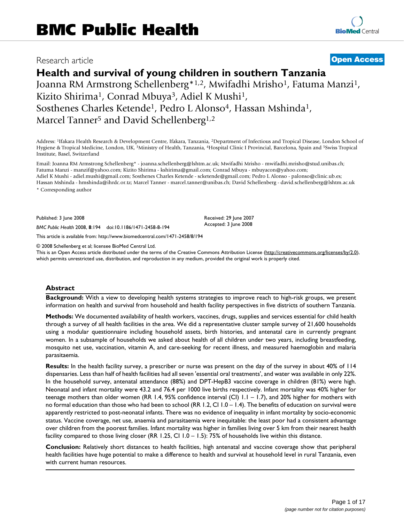# Research article **[Open Access](http://www.biomedcentral.com/info/about/charter/)**

# **Health and survival of young children in southern Tanzania**

Joanna RM Armstrong Schellenberg\*1,2, Mwifadhi Mrisho1, Fatuma Manzi1, Kizito Shirima1, Conrad Mbuya3, Adiel K Mushi1, Sosthenes Charles Ketende<sup>1</sup>, Pedro L Alonso<sup>4</sup>, Hassan Mshinda<sup>1</sup>, Marcel Tanner<sup>5</sup> and David Schellenberg<sup>1,2</sup>

Address: 1Ifakara Health Research & Development Centre, Ifakara, Tanzania, 2Department of Infectious and Tropical Disease, London School of Hygiene & Tropical Medicine, London, UK, 3Ministry of Health, Tanzania, 4Hospital Clinic I Provincial, Barcelona, Spain and 5Swiss Tropical Institute, Basel, Switzerland

Email: Joanna RM Armstrong Schellenberg\* - joanna.schellenberg@lshtm.ac.uk; Mwifadhi Mrisho - mwifadhi.mrisho@stud.unibas.ch; Fatuma Manzi - manzif@yahoo.com; Kizito Shirima - kshirima@gmail.com; Conrad Mbuya - mbuyacon@yahoo.com; Adiel K Mushi - adiel.mushi@gmail.com; Sosthenes Charles Ketende - scketende@gmail.com; Pedro L Alonso - palonso@clinic.ub.es; Hassan Mshinda - hmshinda@ihrdc.or.tz; Marcel Tanner - marcel.tanner@unibas.ch; David Schellenberg - david.schellenberg@lshtm.ac.uk

\* Corresponding author

Published: 3 June 2008

*BMC Public Health* 2008, **8**:194 doi:10.1186/1471-2458-8-194

[This article is available from: http://www.biomedcentral.com/1471-2458/8/194](http://www.biomedcentral.com/1471-2458/8/194)

© 2008 Schellenberg et al; licensee BioMed Central Ltd.

This is an Open Access article distributed under the terms of the Creative Commons Attribution License [\(http://creativecommons.org/licenses/by/2.0\)](http://creativecommons.org/licenses/by/2.0), which permits unrestricted use, distribution, and reproduction in any medium, provided the original work is properly cited.

Received: 29 June 2007 Accepted: 3 June 2008

# **Abstract**

**Background:** With a view to developing health systems strategies to improve reach to high-risk groups, we present information on health and survival from household and health facility perspectives in five districts of southern Tanzania.

**Methods:** We documented availability of health workers, vaccines, drugs, supplies and services essential for child health through a survey of all health facilities in the area. We did a representative cluster sample survey of 21,600 households using a modular questionnaire including household assets, birth histories, and antenatal care in currently pregnant women. In a subsample of households we asked about health of all children under two years, including breastfeeding, mosquito net use, vaccination, vitamin A, and care-seeking for recent illness, and measured haemoglobin and malaria parasitaemia.

**Results:** In the health facility survey, a prescriber or nurse was present on the day of the survey in about 40% of 114 dispensaries. Less than half of health facilities had all seven 'essential oral treatments', and water was available in only 22%. In the household survey, antenatal attendance (88%) and DPT-HepB3 vaccine coverage in children (81%) were high. Neonatal and infant mortality were 43.2 and 76.4 per 1000 live births respectively. Infant mortality was 40% higher for teenage mothers than older women (RR 1.4, 95% confidence interval (CI) 1.1 – 1.7), and 20% higher for mothers with no formal education than those who had been to school (RR 1.2, CI 1.0 – 1.4). The benefits of education on survival were apparently restricted to post-neonatal infants. There was no evidence of inequality in infant mortality by socio-economic status. Vaccine coverage, net use, anaemia and parasitaemia were inequitable: the least poor had a consistent advantage over children from the poorest families. Infant mortality was higher in families living over 5 km from their nearest health facility compared to those living closer (RR 1.25, CI 1.0 – 1.5): 75% of households live within this distance.

**Conclusion:** Relatively short distances to health facilities, high antenatal and vaccine coverage show that peripheral health facilities have huge potential to make a difference to health and survival at household level in rural Tanzania, even with current human resources.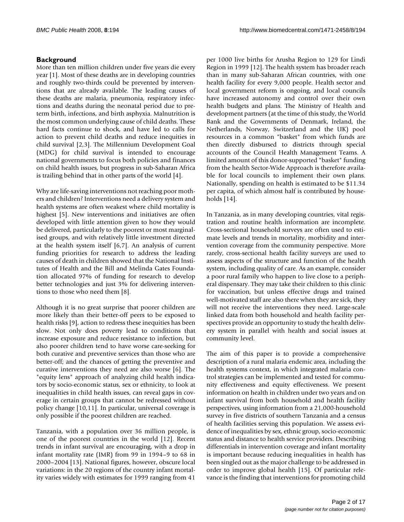# **Background**

More than ten million children under five years die every year [1]. Most of these deaths are in developing countries and roughly two-thirds could be prevented by interventions that are already available. The leading causes of these deaths are malaria, pneumonia, respiratory infections and deaths during the neonatal period due to preterm birth, infections, and birth asphyxia. Malnutrition is the most common underlying cause of child deaths. These hard facts continue to shock, and have led to calls for action to prevent child deaths and reduce inequities in child survival [2,3]. The Millennium Development Goal (MDG) for child survival is intended to encourage national governments to focus both policies and finances on child health issues, but progress in sub-Saharan Africa is trailing behind that in other parts of the world [4].

Why are life-saving interventions not reaching poor mothers and children? Interventions need a delivery system and health systems are often weakest where child mortality is highest [5]. New interventions and initiatives are often developed with little attention given to how they would be delivered, particularly to the poorest or most marginalised groups, and with relatively little investment directed at the health system itself [6,7]. An analysis of current funding priorities for research to address the leading causes of death in children showed that the National Institutes of Health and the Bill and Melinda Gates Foundation allocated 97% of funding for research to develop better technologies and just 3% for delivering interventions to those who need them [8].

Although it is no great surprise that poorer children are more likely than their better-off peers to be exposed to health risks [9], action to redress these inequities has been slow. Not only does poverty lead to conditions that increase exposure and reduce resistance to infection, but also poorer children tend to have worse care-seeking for both curative and preventive services than those who are better-off; and the chances of getting the preventive and curative interventions they need are also worse [6]. The "equity lens" approach of analyzing child health indicators by socio-economic status, sex or ethnicity, to look at inequalities in child health issues, can reveal gaps in coverage in certain groups that cannot be redressed without policy change [10,11]. In particular, universal coverage is only possible if the poorest children are reached.

Tanzania, with a population over 36 million people, is one of the poorest countries in the world [12]. Recent trends in infant survival are encouraging, with a drop in infant mortality rate (IMR) from 99 in 1994–9 to 68 in 2000–2004 [13]. National figures, however, obscure local variations: in the 20 regions of the country infant mortality varies widely with estimates for 1999 ranging from 41

per 1000 live births for Arusha Region to 129 for Lindi Region in 1999 [12]. The health system has broader reach than in many sub-Saharan African countries, with one health facility for every 9,000 people. Health sector and local government reform is ongoing, and local councils have increased autonomy and control over their own health budgets and plans. The Ministry of Health and development partners (at the time of this study, the World Bank and the Governments of Denmark, Ireland, the Netherlands, Norway, Switzerland and the UK) pool resources in a common "basket" from which funds are then directly disbursed to districts through special accounts of the Council Health Management Teams. A limited amount of this donor-supported "basket" funding from the health Sector-Wide Approach is therefore available for local councils to implement their own plans. Nationally, spending on health is estimated to be \$11.34 per capita, of which almost half is contributed by households [14].

In Tanzania, as in many developing countries, vital registration and routine health information are incomplete. Cross-sectional household surveys are often used to estimate levels and trends in mortality, morbidity and intervention coverage from the community perspective. More rarely, cross-sectional health facility surveys are used to assess aspects of the structure and function of the health system, including quality of care. As an example, consider a poor rural family who happen to live close to a peripheral dispensary. They may take their children to this clinic for vaccination, but unless effective drugs and trained well-motivated staff are also there when they are sick, they will not receive the interventions they need. Large-scale linked data from both household and health facility perspectives provide an opportunity to study the health delivery system in parallel with health and social issues at community level.

The aim of this paper is to provide a comprehensive description of a rural malaria endemic area, including the health systems context, in which integrated malaria control strategies can be implemented and tested for community effectiveness and equity effectiveness. We present information on health in children under two years and on infant survival from both household and health facility perspectives, using information from a 21,000-household survey in five districts of southern Tanzania and a census of health facilities serving this population. We assess evidence of inequalities by sex, ethnic group, socio-economic status and distance to health service providers. Describing differentials in intervention coverage and infant mortality is important because reducing inequalities in health has been singled out as the major challenge to be addressed in order to improve global health [15]. Of particular relevance is the finding that interventions for promoting child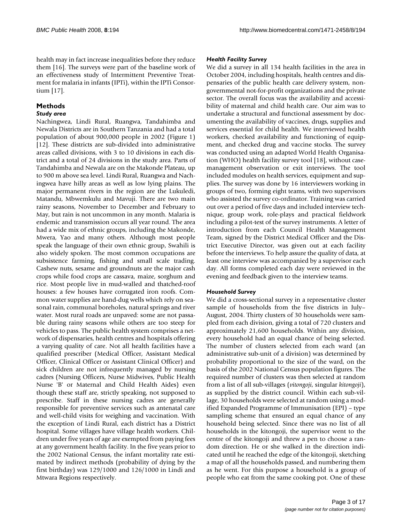health may in fact increase inequalities before they reduce them [16]. The surveys were part of the baseline work of an effectiveness study of Intermittent Preventive Treatment for malaria in infants (IPTi), within the IPTi Consortium [17].

# **Methods**

# *Study area*

Nachingwea, Lindi Rural, Ruangwa, Tandahimba and Newala Districts are in Southern Tanzania and had a total population of about 900,000 people in 2002 (Figure 1) [12]. These districts are sub-divided into administrative areas called divisions, with 3 to 10 divisions in each district and a total of 24 divisions in the study area. Parts of Tandahimba and Newala are on the Makonde Plateau, up to 900 m above sea level. Lindi Rural, Ruangwa and Nachingwea have hilly areas as well as low lying plains. The major permanent rivers in the region are the Lukuledi, Matandu, Mbwemkulu and Mavuji. There are two main rainy seasons, November to December and February to May, but rain is not uncommon in any month. Malaria is endemic and transmission occurs all year round. The area had a wide mix of ethnic groups, including the Makonde, Mwera, Yao and many others. Although most people speak the language of their own ethnic group, Swahili is also widely spoken. The most common occupations are subsistence farming, fishing and small scale trading. Cashew nuts, sesame and groundnuts are the major cash crops while food crops are cassava, maize, sorghum and rice. Most people live in mud-walled and thatched-roof houses: a few houses have corrugated iron roofs. Common water supplies are hand-dug wells which rely on seasonal rain, communal boreholes, natural springs and river water. Most rural roads are unpaved: some are not passable during rainy seasons while others are too steep for vehicles to pass. The public health system comprises a network of dispensaries, health centres and hospitals offering a varying quality of care. Not all health facilities have a qualified prescriber (Medical Officer, Assistant Medical Officer, Clinical Officer or Assistant Clinical Officer) and sick children are not infrequently managed by nursing cadres (Nursing Officers, Nurse Midwives, Public Health Nurse 'B' or Maternal and Child Health Aides) even though these staff are, strictly speaking, not supposed to prescribe. Staff in these nursing cadres are generally responsible for preventive services such as antenatal care and well-child visits for weighing and vaccination. With the exception of Lindi Rural, each district has a District hospital. Some villages have village health workers. Children under five years of age are exempted from paying fees at any government health facility. In the five years prior to the 2002 National Census, the infant mortality rate estimated by indirect methods (probability of dying by the first birthday) was 129/1000 and 126/1000 in Lindi and Mtwara Regions respectively.

# *Health Facility Survey*

We did a survey in all 134 health facilities in the area in October 2004, including hospitals, health centres and dispensaries of the public health care delivery system, nongovernmental not-for-profit organizations and the private sector. The overall focus was the availability and accessibility of maternal and child health care. Our aim was to undertake a structural and functional assessment by documenting the availability of vaccines, drugs, supplies and services essential for child health. We interviewed health workers, checked availability and functioning of equipment, and checked drug and vaccine stocks. The survey was conducted using an adapted World Health Organisation (WHO) health facility survey tool [18], without casemanagement observation or exit interviews. The tool included modules on health services, equipment and supplies. The survey was done by 16 interviewers working in groups of two, forming eight teams, with two supervisors who assisted the survey co-ordinator. Training was carried out over a period of five days and included interview technique, group work, role-plays and practical fieldwork including a pilot-test of the survey instruments. A letter of introduction from each Council Health Management Team, signed by the District Medical Officer and the District Executive Director, was given out at each facility before the interviews. To help assure the quality of data, at least one interview was accompanied by a supervisor each day. All forms completed each day were reviewed in the evening and feedback given to the interview teams.

# *Household Survey*

We did a cross-sectional survey in a representative cluster sample of households from the five districts in July– August, 2004. Thirty clusters of 30 households were sampled from each division, giving a total of 720 clusters and approximately 21,600 households. Within any division, every household had an equal chance of being selected. The number of clusters selected from each ward (an administrative sub-unit of a division) was determined by probability proportional to the size of the ward, on the basis of the 2002 National Census population figures. The required number of clusters was then selected at random from a list of all sub-villages (*vitongoji*, singular *kitongoji*), as supplied by the district council. Within each sub-village, 30 households were selected at random using a modified Expanded Programme of Immunisation (EPI) – type sampling scheme that ensured an equal chance of any household being selected. Since there was no list of all households in the kitongoji, the supervisor went to the centre of the kitongoji and threw a pen to choose a random direction. He or she walked in the direction indicated until he reached the edge of the kitongoji, sketching a map of all the households passed, and numbering them as he went. For this purpose a household is a group of people who eat from the same cooking pot. One of these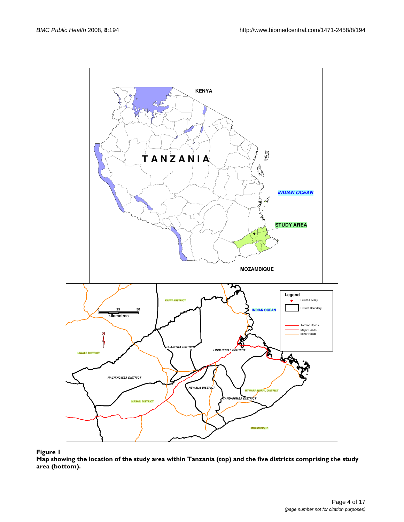

## Map showing the location of the study area **Figure 1** within Tanzania (top) and the five districts comprising the study area (bottom) **Map showing the location of the study area within Tanzania (top) and the five districts comprising the study area (bottom).**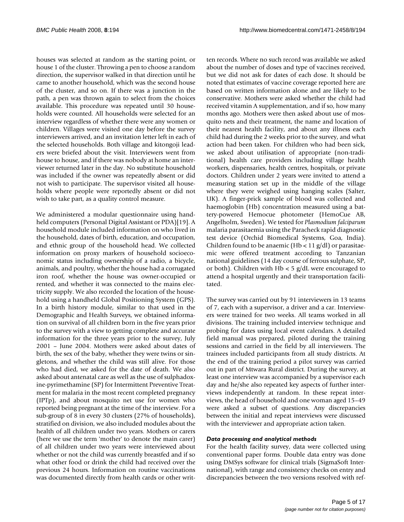houses was selected at random as the starting point, or house 1 of the cluster. Throwing a pen to choose a random direction, the supervisor walked in that direction until he came to another household, which was the second house of the cluster, and so on. If there was a junction in the path, a pen was thrown again to select from the choices available. This procedure was repeated until 30 households were counted. All households were selected for an interview regardless of whether there were any women or children. Villages were visited one day before the survey interviewers arrived, and an invitation letter left in each of the selected households. Both village and kitongoji leaders were briefed about the visit. Interviewers went from house to house, and if there was nobody at home an interviewer returned later in the day. No substitute household was included if the owner was repeatedly absent or did not wish to participate. The supervisor visited all households where people were reportedly absent or did not wish to take part, as a quality control measure.

We administered a modular questionnaire using handheld computers (Personal Digital Assistant or PDA)[19]. A household module included information on who lived in the household, dates of birth, education, and occupation, and ethnic group of the household head. We collected information on proxy markers of household socioeconomic status including ownership of a radio, a bicycle, animals, and poultry, whether the house had a corrugated iron roof, whether the house was owner-occupied or rented, and whether it was connected to the mains electricity supply. We also recorded the location of the household using a handheld Global Positioning System (GPS). In a birth history module, similar to that used in the Demographic and Health Surveys, we obtained information on survival of all children born in the five years prior to the survey with a view to getting complete and accurate information for the three years prior to the survey, July 2001 – June 2004. Mothers were asked about dates of birth, the sex of the baby, whether they were twins or singletons, and whether the child was still alive. For those who had died, we asked for the date of death. We also asked about antenatal care as well as the use of sulphadoxine-pyrimethamine (SP) for Intermittent Preventive Treatment for malaria in the most recent completed pregnancy (IPTp), and about mosquito net use for women who reported being pregnant at the time of the interview. For a sub-group of 8 in every 30 clusters (27% of households), stratified on division, we also included modules about the health of all children under two years. Mothers or carers (here we use the term 'mother' to denote the main carer) of all children under two years were interviewed about whether or not the child was currently breastfed and if so what other food or drink the child had received over the previous 24 hours. Information on routine vaccinations was documented directly from health cards or other written records. Where no such record was available we asked about the number of doses and type of vaccines received, but we did not ask for dates of each dose. It should be noted that estimates of vaccine coverage reported here are based on written information alone and are likely to be conservative. Mothers were asked whether the child had received vitamin A supplementation, and if so, how many months ago. Mothers were then asked about use of mosquito nets and their treatment, the name and location of their nearest health facility, and about any illness each child had during the 2 weeks prior to the survey, and what action had been taken. For children who had been sick, we asked about utilisation of appropriate (non-traditional) health care providers including village health workers, dispensaries, health centres, hospitals, or private doctors. Children under 2 years were invited to attend a measuring station set up in the middle of the village where they were weighed using hanging scales (Salter, UK). A finger-prick sample of blood was collected and haemoglobin (Hb) concentration measured using a battery-powered Hemocue photometer (HemoCue AB, Angelholm, Sweden). We tested for *Plasmodium falciparum* malaria parasitaemia using the Paracheck rapid diagnostic test device (Orchid Biomedical Systems, Goa, India). Children found to be anaemic (Hb <  $11$  g/dl) or parasitaemic were offered treatment according to Tanzanian national guidelines (14 day course of ferrous sulphate, SP, or both). Children with  $Hb < 5$  g/dL were encouraged to attend a hospital urgently and their transportation facilitated.

The survey was carried out by 91 interviewers in 13 teams of 7, each with a supervisor, a driver and a car. Interviewers were trained for two weeks. All teams worked in all divisions. The training included interview technique and probing for dates using local event calendars. A detailed field manual was prepared, piloted during the training sessions and carried in the field by all interviewers. The trainees included participants from all study districts. At the end of the training period a pilot survey was carried out in part of Mtwara Rural district. During the survey, at least one interview was accompanied by a supervisor each day and he/she also repeated key aspects of further interviews independently at random. In these repeat interviews, the head of household and one woman aged 15–49 were asked a subset of questions. Any discrepancies between the initial and repeat interviews were discussed with the interviewer and appropriate action taken.

### *Data processing and analytical methods*

For the health facility survey, data were collected using conventional paper forms. Double data entry was done using DMSys software for clinical trials (SigmaSoft International), with range and consistency checks on entry and discrepancies between the two versions resolved with ref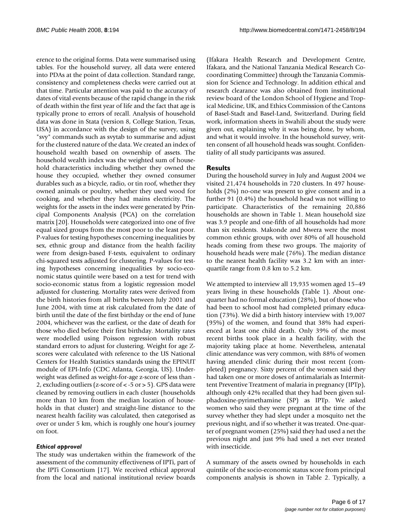erence to the original forms. Data were summarised using tables. For the household survey, all data were entered into PDAs at the point of data collection. Standard range, consistency and completeness checks were carried out at that time. Particular attention was paid to the accuracy of dates of vital events because of the rapid change in the risk of death within the first year of life and the fact that age is typically prone to errors of recall. Analysis of household data was done in Stata (version 8, College Station, Texas, USA) in accordance with the design of the survey, using "svy" commands such as svytab to summarise and adjust for the clustered nature of the data. We created an index of household wealth based on ownership of assets. The household wealth index was the weighted sum of household characteristics including whether they owned the house they occupied, whether they owned consumer durables such as a bicycle, radio, or tin roof, whether they owned animals or poultry, whether they used wood for cooking, and whether they had mains electricity. The weights for the assets in the index were generated by Principal Components Analysis (PCA) on the correlation matrix [20]. Households were categorized into one of five equal sized groups from the most poor to the least poor. P-values for testing hypotheses concerning inequalities by sex, ethnic group and distance from the health facility were from design-based F-tests, equivalent to ordinary chi-squared tests adjusted for clustering. P-values for testing hypotheses concerning inequalities by socio-economic status quintile were based on a test for trend with socio-economic status from a logistic regression model adjusted for clustering. Mortality rates were derived from the birth histories from all births between July 2001 and June 2004, with time at risk calculated from the date of birth until the date of the first birthday or the end of June 2004, whichever was the earliest, or the date of death for those who died before their first birthday. Mortality rates were modelled using Poisson regression with robust standard errors to adjust for clustering. Weight for age Zscores were calculated with reference to the US National Centers for Health Statistics standards using the EPINUT module of EPI-Info (CDC Atlanta, Georgia, US). Underweight was defined as weight-for-age z-score of less than - 2, excluding outliers (z-score of < -5 or > 5). GPS data were cleaned by removing outliers in each cluster (households more than 10 km from the median location of households in that cluster) and straight-line distance to the nearest health facility was calculated, then categorised as over or under 5 km, which is roughly one hour's journey on foot.

# *Ethical approval*

The study was undertaken within the framework of the assessment of the community effectiveness of IPTi, part of the IPTi Consortium [17]. We received ethical approval from the local and national institutional review boards

(Ifakara Health Research and Development Centre, Ifakara, and the National Tanzania Medical Research Cocoordinating Committee) through the Tanzania Commission for Science and Technology. In addition ethical and research clearance was also obtained from institutional review board of the London School of Hygiene and Tropical Medicine, UK, and Ethics Commission of the Cantons of Basel-Stadt and Basel-Land, Switzerland. During field work, information sheets in Swahili about the study were given out, explaining why it was being done, by whom, and what it would involve. In the household survey, written consent of all household heads was sought. Confidentiality of all study participants was assured.

# **Results**

During the household survey in July and August 2004 we visited 21,474 households in 720 clusters. In 497 households (2%) no-one was present to give consent and in a further 91 (0.4%) the household head was not willing to participate. Characteristics of the remaining 20,886 households are shown in Table 1. Mean household size was 3.9 people and one-fifth of all households had more than six residents. Makonde and Mwera were the most common ethnic groups, with over 80% of all household heads coming from these two groups. The majority of household heads were male (76%). The median distance to the nearest health facility was 3.2 km with an interquartile range from 0.8 km to 5.2 km.

We attempted to interview all 19,935 women aged 15–49 years living in these households (Table 1). About onequarter had no formal education (28%), but of those who had been to school most had completed primary education (73%). We did a birth history interview with 19,007 (95%) of the women, and found that 38% had experienced at least one child death. Only 39% of the most recent births took place in a health facility, with the majority taking place at home. Nevertheless, antenatal clinic attendance was very common, with 88% of women having attended clinic during their most recent (completed) pregnancy. Sixty percent of the women said they had taken one or more doses of antimalarials as Intermittent Preventive Treatment of malaria in pregnancy (IPTp), although only 42% recalled that they had been given sulphadoxine-pyrimethamine (SP) as IPTp. We asked women who said they were pregnant at the time of the survey whether they had slept under a mosquito net the previous night, and if so whether it was treated. One-quarter of pregnant women (25%) said they had used a net the previous night and just 9% had used a net ever treated with insecticide.

A summary of the assets owned by households in each quintile of the socio-economic status score from principal components analysis is shown in Table 2. Typically, a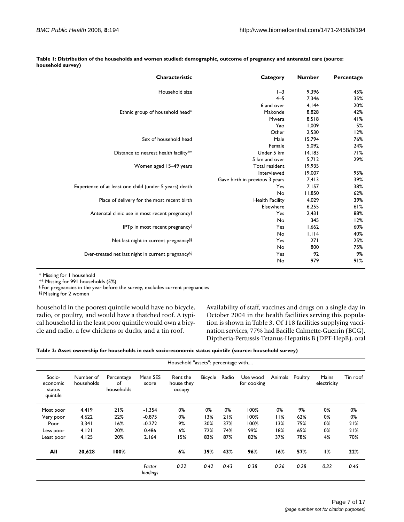| Characteristic                                                 | Category                       | <b>Number</b> | Percentage |
|----------------------------------------------------------------|--------------------------------|---------------|------------|
| Household size                                                 | $I-3$                          | 9,396         | 45%        |
|                                                                | $4 - 5$                        | 7,346         | 35%        |
|                                                                | 6 and over                     | 4,144         | 20%        |
| Ethnic group of household head*                                | Makonde                        | 8,828         | 42%        |
|                                                                | Mwera                          | 8,518         | 41%        |
|                                                                | Yao                            | 1,009         | 5%         |
|                                                                | Other                          | 2,530         | 12%        |
| Sex of household head                                          | Male                           | 15,794        | 76%        |
|                                                                | Female                         | 5,092         | 24%        |
| Distance to nearest health facility**                          | Under 5 km                     | 14,183        | 71%        |
|                                                                | 5 km and over                  | 5,712         | 29%        |
| Women aged 15-49 years                                         | Total resident                 | 19,935        |            |
|                                                                | Interviewed                    | 19,007        | 95%        |
|                                                                | Gave birth in previous 3 years | 7,413         | 39%        |
| Experience of at least one child (under 5 years) death         | Yes                            | 7,157         | 38%        |
|                                                                | No                             | 11,850        | 62%        |
| Place of delivery for the most recent birth                    | <b>Health Facility</b>         | 4,029         | 39%        |
|                                                                | Elsewhere                      | 6,255         | 61%        |
| Antenatal clinic use in most recent pregnancy <sup>§</sup>     | Yes                            | 2,431         | 88%        |
|                                                                | No                             | 345           | 12%        |
| IPTp in most recent pregnancy <sup>§</sup>                     | Yes                            | 1,662         | 60%        |
|                                                                | No                             | 1,114         | 40%        |
| Net last night in current pregnancy <sup>§§</sup>              | Yes                            | 271           | 25%        |
|                                                                | No                             | 800           | 75%        |
| Ever-treated net last night in current pregnancy <sup>§§</sup> | Yes                            | 92            | 9%         |
|                                                                | No                             | 979           | 91%        |
|                                                                |                                |               |            |

**Table 1: Distribution of the households and women studied: demographic, outcome of pregnancy and antenatal care (source: household survey)**

\* Missing for 1 household

\*\* Missing for 991 households (5%)

§ For pregnancies in the year before the survey, excludes current pregnancies

§§ Missing for 2 women

household in the poorest quintile would have no bicycle, radio, or poultry, and would have a thatched roof. A typical household in the least poor quintile would own a bicycle and radio, a few chickens or ducks, and a tin roof.

Availability of staff, vaccines and drugs on a single day in October 2004 in the health facilities serving this population is shown in Table 3. Of 118 facilities supplying vaccination services, 77% had Bacille Calmette-Guerrin (BCG), Diptheria-Pertussis-Tetanus-Hepatitis B (DPT-HepB), oral

**Table 2: Asset ownership for households in each socio-economic status quintile (source: household survey)**

| Household "assets": percentage with      |                         |                                |                    |                                  |         |       |                         |         |         |                      |          |
|------------------------------------------|-------------------------|--------------------------------|--------------------|----------------------------------|---------|-------|-------------------------|---------|---------|----------------------|----------|
| Socio-<br>economic<br>status<br>quintile | Number of<br>households | Percentage<br>of<br>households | Mean SES<br>score  | Rent the<br>house they<br>occupy | Bicycle | Radio | Use wood<br>for cooking | Animals | Poultry | Mains<br>electricity | Tin roof |
| Most poor                                | 4,419                   | 21%                            | $-1.354$           | 0%                               | 0%      | 0%    | 100%                    | 0%      | 9%      | 0%                   | 0%       |
| Very poor                                | 4,622                   | 22%                            | $-0.875$           | 0%                               | 13%     | 21%   | 100%                    | 11%     | 62%     | 0%                   | 0%       |
| Poor                                     | 3,341                   | 16%                            | $-0.272$           | 9%                               | 30%     | 37%   | 100%                    | 13%     | 75%     | 0%                   | 21%      |
| Less poor                                | 4,121                   | 20%                            | 0.486              | 6%                               | 72%     | 74%   | 99%                     | 18%     | 65%     | 0%                   | 21%      |
| Least poor                               | 4,125                   | 20%                            | 2.164              | 15%                              | 83%     | 87%   | 82%                     | 37%     | 78%     | 4%                   | 70%      |
| All                                      | 20,628                  | 100%                           |                    | 6%                               | 39%     | 43%   | 96%                     | 16%     | 57%     | 1%                   | 22%      |
|                                          |                         |                                | Factor<br>loadings | 0.22                             | 0.42    | 0.43  | 0.38                    | 0.26    | 0.28    | 0.32                 | 0.45     |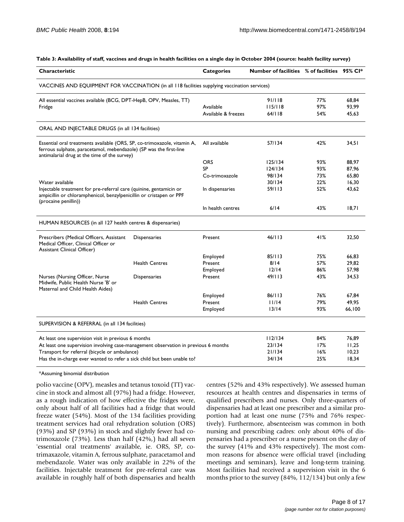#### **Table 3: Availability of staff, vaccines and drugs in health facilities on a single day in October 2004 (source: health facility survey)**

| Characteristic                                                                                                                                                                                 |                       | <b>Categories</b>   | Number of facilities % of facilities 95% CI* |     |        |
|------------------------------------------------------------------------------------------------------------------------------------------------------------------------------------------------|-----------------------|---------------------|----------------------------------------------|-----|--------|
| VACCINES AND EQUIPMENT FOR VACCINATION (in all 118 facilities supplying vaccination services)                                                                                                  |                       |                     |                                              |     |        |
| All essential vaccines available (BCG, DPT-HepB, OPV, Measles, TT)                                                                                                                             |                       |                     | 91/118                                       | 77% | 68,84  |
| Fridge                                                                                                                                                                                         |                       | Available           | 115/118                                      | 97% | 93.99  |
|                                                                                                                                                                                                |                       | Available & freezes | 64/118                                       | 54% | 45.63  |
| ORAL AND INJECTABLE DRUGS (in all 134 facilities)                                                                                                                                              |                       |                     |                                              |     |        |
| Essential oral treatments available (ORS, SP, co-trimoxazole, vitamin A,<br>ferrous sulphate, paracetamol, mebendazole) (SP was the first-line<br>antimalarial drug at the time of the survey) |                       | All available       | 57/134                                       | 42% | 34.51  |
|                                                                                                                                                                                                |                       | <b>ORS</b>          | 125/134                                      | 93% | 88.97  |
|                                                                                                                                                                                                |                       | <b>SP</b>           | 124/134                                      | 93% | 87,96  |
|                                                                                                                                                                                                |                       | Co-trimoxazole      | 98/134                                       | 73% | 65,80  |
| Water available                                                                                                                                                                                |                       |                     | 30/134                                       | 22% | 16.30  |
| Injectable treatment for pre-referral care (quinine, gentamicin or<br>ampicillin or chloramphenicol, benzylpenicillin or cristapen or PPF<br>(procaine penillin))                              |                       | In dispensaries     | 59/113                                       | 52% | 43,62  |
|                                                                                                                                                                                                |                       | In health centres   | 6/14                                         | 43% | 18,71  |
| HUMAN RESOURCES (in all 127 health centres & dispensaries)                                                                                                                                     |                       |                     |                                              |     |        |
| Prescribers (Medical Officers, Assistant<br>Medical Officer, Clinical Officer or<br><b>Assistant Clinical Officer)</b>                                                                         | <b>Dispensaries</b>   | Present             | 46/113                                       | 41% | 32.50  |
|                                                                                                                                                                                                |                       | Employed            | 85/113                                       | 75% | 66,83  |
|                                                                                                                                                                                                | <b>Health Centres</b> | Present             | 8/14                                         | 57% | 29,82  |
|                                                                                                                                                                                                |                       | Employed            | 12/14                                        | 86% | 57.98  |
| Nurses (Nursing Officer, Nurse<br>Midwife, Public Health Nurse 'B' or<br>Maternal and Child Health Aides)                                                                                      | Dispensaries          | Present             | 49/113                                       | 43% | 34,53  |
|                                                                                                                                                                                                |                       | Employed            | 86/113                                       | 76% | 67,84  |
|                                                                                                                                                                                                | <b>Health Centres</b> | Present             | 11/14                                        | 79% | 49.95  |
|                                                                                                                                                                                                |                       | Employed            | 13/14                                        | 93% | 66,100 |
| SUPERVISION & REFERRAL (in all 134 facilities)                                                                                                                                                 |                       |                     |                                              |     |        |
| At least one supervision visit in previous 6 months                                                                                                                                            |                       |                     | 112/134                                      | 84% | 76.89  |
| At least one supervision involving case-management observation in previous 6 months                                                                                                            |                       |                     | 23/134                                       | 17% | 11,25  |
| Transport for referral (bicycle or ambulance)                                                                                                                                                  |                       |                     | 21/134                                       | 16% | 10,23  |
| Has the in-charge ever wanted to refer a sick child but been unable to?                                                                                                                        |                       |                     | 34/134                                       | 25% | 18.34  |

\*Assuming binomial distribution

polio vaccine (OPV), measles and tetanus toxoid (TT) vaccine in stock and almost all (97%) had a fridge. However, as a rough indication of how effective the fridges were, only about half of all facilities had a fridge that would freeze water (54%). Most of the 134 facilities providing treatment services had oral rehydration solution (ORS) (93%) and SP (93%) in stock and slightly fewer had cotrimoxazole (73%). Less than half (42%,) had all seven 'essential oral treatments' available, ie. ORS, SP, cotrimaxazole, vitamin A, ferrous sulphate, paracetamol and mebendazole. Water was only available in 22% of the facilities. Injectable treatment for pre-referral care was available in roughly half of both dispensaries and health

centres (52% and 43% respectively). We assessed human resources at health centres and dispensaries in terms of qualified prescribers and nurses. Only three-quarters of dispensaries had at least one prescriber and a similar proportion had at least one nurse (75% and 76% respectively). Furthermore, absenteeism was common in both nursing and prescribing cadres: only about 40% of dispensaries had a prescriber or a nurse present on the day of the survey (41% and 43% respectively). The most common reasons for absence were official travel (including meetings and seminars), leave and long-term training. Most facilities had received a supervision visit in the 6 months prior to the survey (84%, 112/134) but only a few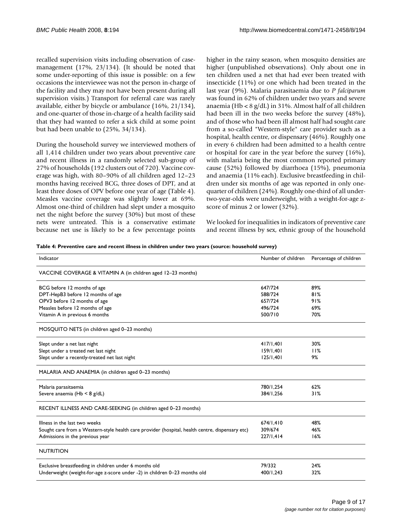recalled supervision visits including observation of casemanagement (17%, 23/134). (It should be noted that some under-reporting of this issue is possible: on a few occasions the interviewee was not the person in-charge of the facility and they may not have been present during all supervision visits.) Transport for referral care was rarely available, either by bicycle or ambulance (16%, 21/134), and one-quarter of those in-charge of a health facility said that they had wanted to refer a sick child at some point but had been unable to (25%, 34/134).

During the household survey we interviewed mothers of all 1,414 children under two years about preventive care and recent illness in a randomly selected sub-group of 27% of households (192 clusters out of 720). Vaccine coverage was high, with 80–90% of all children aged 12–23 months having received BCG, three doses of DPT, and at least three doses of OPV before one year of age (Table 4). Measles vaccine coverage was slightly lower at 69%. Almost one-third of children had slept under a mosquito net the night before the survey (30%) but most of these nets were untreated. This is a conservative estimate because net use is likely to be a few percentage points higher in the rainy season, when mosquito densities are higher (unpublished observations). Only about one in ten children used a net that had ever been treated with insecticide (11%) or one which had been treated in the last year (9%). Malaria parasitaemia due to *P falciparum* was found in 62% of children under two years and severe anaemia (Hb < 8 g/dL) in 31%. Almost half of all children had been ill in the two weeks before the survey (48%), and of those who had been ill almost half had sought care from a so-called "Western-style" care provider such as a hospital, health centre, or dispensary (46%). Roughly one in every 6 children had been admitted to a health centre or hospital for care in the year before the survey (16%), with malaria being the most common reported primary cause (52%) followed by diarrhoea (15%), pneumonia and anaemia (11% each). Exclusive breastfeeding in children under six months of age was reported in only onequarter of children (24%). Roughly one-third of all undertwo-year-olds were underweight, with a weight-for-age zscore of minus 2 or lower (32%).

We looked for inequalities in indicators of preventive care and recent illness by sex, ethnic group of the household

| Table 4: Preventive care and recent illness in children under two years (source: household survey) |  |  |  |  |  |
|----------------------------------------------------------------------------------------------------|--|--|--|--|--|
|----------------------------------------------------------------------------------------------------|--|--|--|--|--|

| Indicator                                                                                       | Number of children | Percentage of children |
|-------------------------------------------------------------------------------------------------|--------------------|------------------------|
| VACCINE COVERAGE & VITAMIN A (in children aged 12-23 months)                                    |                    |                        |
| BCG before 12 months of age                                                                     | 647/724            | 89%                    |
| DPT-HepB3 before 12 months of age                                                               | 588/724            | 81%                    |
| OPV3 before 12 months of age                                                                    | 657/724            | 91%                    |
| Measles before 12 months of age                                                                 | 496/724            | 69%                    |
| Vitamin A in previous 6 months                                                                  | 500/710            | 70%                    |
| MOSQUITO NETS (in children aged 0-23 months)                                                    |                    |                        |
| Slept under a net last night                                                                    | 417/1,401          | 30%                    |
| Slept under a treated net last night                                                            | 159/1,401          | 11%                    |
| Slept under a recently-treated net last night                                                   | 125/1,401          | 9%                     |
| MALARIA AND ANAEMIA (in children aged 0-23 months)                                              |                    |                        |
| Malaria parasitaemia                                                                            | 780/1,254          | 62%                    |
| Severe anaemia (Hb < $8$ g/dL)                                                                  | 384/1,256          | 31%                    |
| RECENT ILLNESS AND CARE-SEEKING (in children aged 0-23 months)                                  |                    |                        |
| Illness in the last two weeks                                                                   | 674/1.410          | 48%                    |
| Sought care from a Western-style health care provider (hospital, health centre, dispensary etc) | 309/674            | 46%                    |
| Admissions in the previous year                                                                 | 227/1,414          | 16%                    |
| <b>NUTRITION</b>                                                                                |                    |                        |
| Exclusive breastfeeding in children under 6 months old                                          | 79/332             | 24%                    |
| Underweight (weight-for-age z-score under -2) in children 0-23 months old                       | 400/1,243          | 32%                    |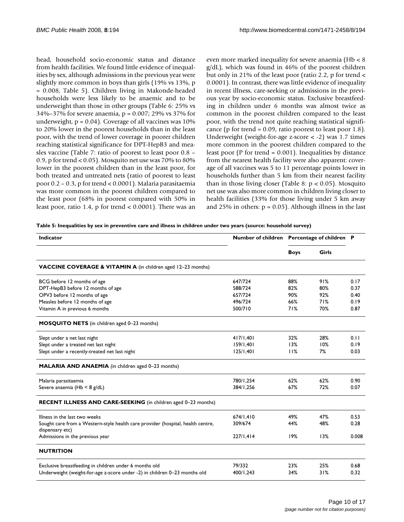head, household socio-economic status and distance from health facilities. We found little evidence of inequalities by sex, although admissions in the previous year were slightly more common in boys than girls (19% vs 13%, p = 0.008, Table 5). Children living in Makonde-headed households were less likely to be anaemic and to be underweight than those in other groups (Table 6: 25% vs 34%–37% for severe anaemia, p = 0.007; 29% vs 37% for underweight,  $p = 0.04$ . Coverage of all vaccines was  $10\%$ to 20% lower in the poorest households than in the least poor, with the trend of lower coverage in poorer children reaching statistical significance for DPT-HepB3 and measles vaccine (Table 7: ratio of poorest to least poor 0.8 – 0.9, p for trend < 0.05). Mosquito net use was 70% to 80% lower in the poorest children than in the least poor, for both treated and untreated nets (ratio of poorest to least poor 0.2 – 0.3, p for trend < 0.0001). Malaria parasitaemia was more common in the poorest children compared to the least poor (68% in poorest compared with 50% in least poor, ratio 1.4, p for trend  $< 0.0001$ ). There was an even more marked inequality for severe anaemia (Hb < 8 g/dL), which was found in 46% of the poorest children but only in 21% of the least poor (ratio 2.2, p for trend < 0.0001). In contrast, there was little evidence of inequality in recent illness, care-seeking or admissions in the previous year by socio-economic status. Exclusive breastfeeding in children under 6 months was almost twice as common in the poorest children compared to the least poor, with the trend not quite reaching statistical significance (p for trend =  $0.09$ , ratio poorest to least poor 1.8). Underweight (weight-for-age z-score < -2) was 1.7 times more common in the poorest children compared to the least poor ( $P$  for trend = 0.001). Inequalities by distance from the nearest health facility were also apparent: coverage of all vaccines was 5 to 11 percentage points lower in households further than 5 km from their nearest facility than in those living closer (Table 8:  $p < 0.05$ ). Mosquito net use was also more common in children living closer to health facilities (33% for those living under 5 km away and 25% in others:  $p = 0.05$ ). Although illness in the last

**Table 5: Inequalities by sex in preventive care and illness in children under two years (source: household survey)**

| <b>Indicator</b>                                                                                   | Number of children Percentage of children P |             |       |       |
|----------------------------------------------------------------------------------------------------|---------------------------------------------|-------------|-------|-------|
|                                                                                                    |                                             | <b>Boys</b> | Girls |       |
| <b>VACCINE COVERAGE &amp; VITAMIN A</b> (in children aged 12-23 months)                            |                                             |             |       |       |
| BCG before 12 months of age                                                                        | 647/724                                     | 88%         | 91%   | 0.17  |
| DPT-HepB3 before 12 months of age                                                                  | 588/724                                     | 82%         | 80%   | 0.37  |
| OPV3 before 12 months of age                                                                       | 657/724                                     | 90%         | 92%   | 0.40  |
| Measles before 12 months of age                                                                    | 496/724                                     | 66%         | 71%   | 0.19  |
| Vitamin A in previous 6 months                                                                     | 500/710                                     | 71%         | 70%   | 0.87  |
| <b>MOSQUITO NETS</b> (in children aged 0-23 months)                                                |                                             |             |       |       |
| Slept under a net last night                                                                       | 417/1,401                                   | 32%         | 28%   | 0.11  |
| Slept under a treated net last night                                                               | 159/1,401                                   | 13%         | 10%   | 0.19  |
| Slept under a recently-treated net last night                                                      | 125/1,401                                   | 11%         | 7%    | 0.03  |
| <b>MALARIA AND ANAEMIA</b> (in children aged 0-23 months)                                          |                                             |             |       |       |
| Malaria parasitaemia                                                                               | 780/1.254                                   | 62%         | 62%   | 0.90  |
| Severe anaemia (Hb < 8 g/dL)                                                                       | 384/1,256                                   | 67%         | 72%   | 0.07  |
| RECENT ILLNESS AND CARE-SEEKING (in children aged 0-23 months)                                     |                                             |             |       |       |
| Illness in the last two weeks                                                                      | 674/1.410                                   | 49%         | 47%   | 0.53  |
| Sought care from a Western-style health care provider (hospital, health centre,<br>dispensary etc) | 309/674                                     | 44%         | 48%   | 0.28  |
| Admissions in the previous year                                                                    | 227/1,414                                   | 19%         | 13%   | 0.008 |
| <b>NUTRITION</b>                                                                                   |                                             |             |       |       |
| Exclusive breastfeeding in children under 6 months old                                             | 79/332                                      | 23%         | 25%   | 0.68  |
| Underweight (weight-for-age z-score under -2) in children 0-23 months old                          | 400/1,243                                   | 34%         | 31%   | 0.32  |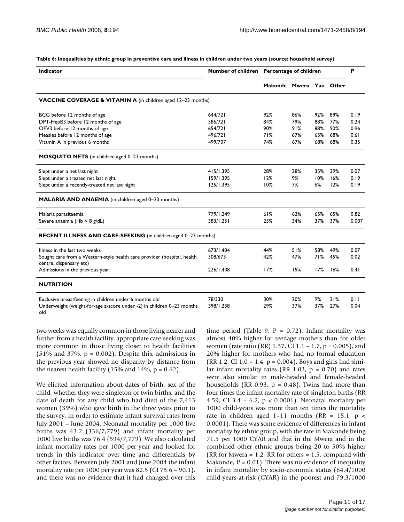| <b>Indicator</b>                                                             |           | Number of children Percentage of children |     |     |     |       |
|------------------------------------------------------------------------------|-----------|-------------------------------------------|-----|-----|-----|-------|
|                                                                              |           | Makonde Mwera Yao Other                   |     |     |     |       |
| <b>VACCINE COVERAGE &amp; VITAMIN A</b> (in children aged 12-23 months)      |           |                                           |     |     |     |       |
| BCG before 12 months of age                                                  | 644/721   | 92%                                       | 86% | 92% | 89% | 0.19  |
| DPT-HepB3 before 12 months of age                                            | 586/721   | 84%                                       | 79% | 88% | 77% | 0.24  |
| OPV3 before 12 months of age                                                 | 654/721   | 90%                                       | 91% | 88% | 90% | 0.96  |
| Measles before 12 months of age                                              | 496/721   | 71%                                       | 67% | 65% | 68% | 0.61  |
| Vitamin A in previous 6 months                                               | 499/707   | 74%                                       | 67% | 68% | 68% | 0.35  |
| <b>MOSQUITO NETS</b> (in children aged 0-23 months)                          |           |                                           |     |     |     |       |
| Slept under a net last night                                                 | 415/1,395 | 28%                                       | 28% | 35% | 39% | 0.07  |
| Slept under a treated net last night                                         | 159/1,395 | 12%                                       | 9%  | 10% | 16% | 0.19  |
| Slept under a recently-treated net last night                                | 125/1,395 | 10%                                       | 7%  | 6%  | 12% | 0.19  |
| <b>MALARIA AND ANAEMIA</b> (in children aged 0-23 months)                    |           |                                           |     |     |     |       |
| Malaria parasitaemia                                                         | 779/1,249 | 61%                                       | 62% | 65% | 65% | 0.82  |
| Severe anaemia (Hb < $8$ g/dL)                                               | 383/1,251 | 25%                                       | 34% | 37% | 37% | 0.007 |
| RECENT ILLNESS AND CARE-SEEKING (in children aged 0-23 months)               |           |                                           |     |     |     |       |
| Illness in the last two weeks                                                | 673/1,404 | 44%                                       | 51% | 58% | 49% | 0.07  |
| Sought care from a Western-style health care provider (hospital, health      | 308/673   | 42%                                       | 47% | 71% | 45% | 0.02  |
| centre, dispensary etc)<br>Admissions in the previous year                   | 226/1,408 | 17%                                       | 15% | 17% | 16% | 0.41  |
| <b>NUTRITION</b>                                                             |           |                                           |     |     |     |       |
| Exclusive breastfeeding in children under 6 months old                       | 78/330    | 30%                                       | 20% | 9%  | 21% | 0.11  |
| Underweight (weight-for-age z-score under -2) in children 0-23 months<br>old | 398/1,238 | 29%                                       | 37% | 37% | 27% | 0.04  |

**Table 6: Inequalities by ethnic group in preventive care and illness in children under two years (source: household survey)**

two weeks was equally common in those living nearer and further from a health facility, appropriate care-seeking was more common in those living closer to health facilities  $(51\%$  and 37%,  $p = 0.002$ ). Despite this, admissions in the previous year showed no disparity by distance from the nearest health facility (15% and 14%,  $p = 0.62$ ).

We elicited information about dates of birth, sex of the child, whether they were singleton or twin births, and the date of death for any child who had died of the 7,413 women (39%) who gave birth in the three years prior to the survey, in order to estimate infant survival rates from July 2001 – June 2004. Neonatal mortality per 1000 live births was 43.2 (336/7,779) and infant mortality per 1000 live births was 76.4 (594/7,779). We also calculated infant mortality rates per 1000 per year and looked for trends in this indicator over time and differentials by other factors. Between July 2001 and June 2004 the infant mortality rate per 1000 per year was 82.5 (CI 75.6 – 90.1), and there was no evidence that it had changed over this

time period (Table 9,  $P = 0.72$ ). Infant mortality was almost 40% higher for teenage mothers than for older women (rate ratio (RR) 1.37, CI 1.1 – 1.7, p = 0.005), and 20% higher for mothers who had no formal education (RR 1.2, CI 1.0 – 1.4,  $p = 0.004$ ). Boys and girls had similar infant mortality rates (RR 1.03,  $p = 0.70$ ) and rates were also similar in male-headed and female-headed households (RR 0.93,  $p = 0.48$ ). Twins had more than four times the infant mortality rate of singleton births (RR 4.59, CI 3.4 – 6.2, p < 0.0001). Neonatal mortality per 1000 child-years was more than ten times the mortality rate in children aged 1-11 months (RR = 15.1,  $p \le$ 0.0001). There was some evidence of differences in infant mortality by ethnic group, with the rate in Makonde being 71.5 per 1000 CYAR and that in the Mwera and in the combined other ethnic groups being 20 to 50% higher (RR for Mwera =  $1.2$ , RR for others =  $1.5$ , compared with Makonde,  $P = 0.01$ ). There was no evidence of inequality in infant mortality by socio-economic status (84.4/1000 child-years-at-risk (CYAR) in the poorest and 79.3/1000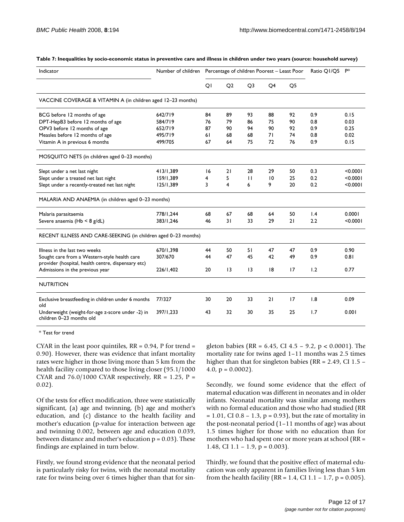| Indicator                                                                                          | Number of children | Percentage of children Poorest - Least Poor |                         |                |                |    | Ratio Q1/Q5 P* |          |
|----------------------------------------------------------------------------------------------------|--------------------|---------------------------------------------|-------------------------|----------------|----------------|----|----------------|----------|
|                                                                                                    |                    | O <sub>1</sub>                              | O <sub>2</sub>          | O <sub>3</sub> | O <sub>4</sub> | Q5 |                |          |
| VACCINE COVERAGE & VITAMIN A (in children aged 12-23 months)                                       |                    |                                             |                         |                |                |    |                |          |
| BCG before 12 months of age                                                                        | 642/719            | 84                                          | 89                      | 93             | 88             | 92 | 0.9            | 0.15     |
| DPT-HepB3 before 12 months of age                                                                  | 584/719            | 76                                          | 79                      | 86             | 75             | 90 | 0.8            | 0.03     |
| OPV3 before 12 months of age                                                                       | 652/719            | 87                                          | 90                      | 94             | 90             | 92 | 0.9            | 0.25     |
| Measles before 12 months of age                                                                    | 495/719            | 61                                          | 68                      | 68             | 71             | 74 | 0.8            | 0.02     |
| Vitamin A in previous 6 months                                                                     | 499/705            | 67                                          | 64                      | 75             | 72             | 76 | 0.9            | 0.15     |
| MOSQUITO NETS (in children aged 0-23 months)                                                       |                    |                                             |                         |                |                |    |                |          |
| Slept under a net last night                                                                       | 413/1,389          | 16                                          | 21                      | 28             | 29             | 50 | 0.3            | < 0.0001 |
| Slept under a treated net last night                                                               | 159/1,389          | 4                                           | 5                       | $\mathbf{H}$   | 10             | 25 | 0.2            | < 0.0001 |
| Slept under a recently-treated net last night                                                      | 125/1,389          | 3                                           | $\overline{\mathbf{4}}$ | 6              | 9              | 20 | 0.2            | < 0.0001 |
| MALARIA AND ANAEMIA (in children aged 0-23 months)                                                 |                    |                                             |                         |                |                |    |                |          |
| Malaria parasitaemia                                                                               | 778/1,244          | 68                                          | 67                      | 68             | 64             | 50 | 1.4            | 0.0001   |
| Severe anaemia (Hb < $8$ g/dL)                                                                     | 383/1,246          | 46                                          | 31                      | 33             | 29             | 21 | 2.2            | < 0.0001 |
| RECENT ILLNESS AND CARE-SEEKING (in children aged 0-23 months)                                     |                    |                                             |                         |                |                |    |                |          |
| Illness in the last two weeks                                                                      | 670/1,398          | 44                                          | 50                      | 51             | 47             | 47 | 0.9            | 0.90     |
| Sought care from a Western-style health care<br>provider (hospital, health centre, dispensary etc) | 307/670            | 44                                          | 47                      | 45             | 42             | 49 | 0.9            | 0.81     |
| Admissions in the previous year                                                                    | 226/1,402          | 20                                          | $\overline{13}$         | 13             | 18             | 17 | 1.2            | 0.77     |
| <b>NUTRITION</b>                                                                                   |                    |                                             |                         |                |                |    |                |          |
| Exclusive breastfeeding in children under 6 months<br>old                                          | 77/327             | 30                                          | 20                      | 33             | 21             | 17 | 1.8            | 0.09     |
| Underweight (weight-for-age z-score under -2) in<br>children 0-23 months old                       | 397/1.233          | 43                                          | 32                      | 30             | 35             | 25 | 1.7            | 0.001    |

**Table 7: Inequalities by socio-economic status in preventive care and illness in children under two years (source: household survey)**

\* Test for trend

CYAR in the least poor quintiles,  $RR = 0.94$ , P for trend = 0.90). However, there was evidence that infant mortality rates were higher in those living more than 5 km from the health facility compared to those living closer (95.1/1000 CYAR and  $76.0/1000$  CYAR respectively, RR = 1.25, P = 0.02).

Of the tests for effect modification, three were statistically significant, (a) age and twinning, (b) age and mother's education, and (c) distance to the health facility and mother's education (p-value for interaction between age and twinning 0.002, between age and education 0.039, between distance and mother's education  $p = 0.03$ ). These findings are explained in turn below.

Firstly, we found strong evidence that the neonatal period is particularly risky for twins, with the neonatal mortality rate for twins being over 6 times higher than that for singleton babies (RR =  $6.45$ , CI  $4.5 - 9.2$ , p <  $0.0001$ ). The mortality rate for twins aged 1–11 months was 2.5 times higher than that for singleton babies (RR = 2.49, CI 1.5 – 4.0,  $p = 0.0002$ ).

Secondly, we found some evidence that the effect of maternal education was different in neonates and in older infants. Neonatal mortality was similar among mothers with no formal education and those who had studied (RR  $= 1.01$ , CI 0.8 – 1.3, p = 0.93), but the rate of mortality in the post-neonatal period (1–11 months of age) was about 1.5 times higher for those with no education than for mothers who had spent one or more years at school (RR = 1.48, CI  $1.1 - 1.9$ ,  $p = 0.003$ ).

Thirdly, we found that the positive effect of maternal education was only apparent in families living less than 5 km from the health facility (RR = 1.4, CI 1.1 – 1.7,  $p = 0.005$ ).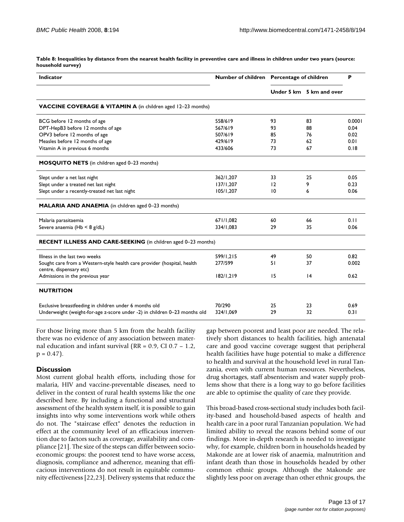**Table 8: Inequalities by distance from the nearest health facility in preventive care and illness in children under two years (source: household survey)**

| <b>Indicator</b>                                                                                   | Number of children Percentage of children |    | P                        |        |
|----------------------------------------------------------------------------------------------------|-------------------------------------------|----|--------------------------|--------|
|                                                                                                    |                                           |    | Under 5 km 5 km and over |        |
| <b>VACCINE COVERAGE &amp; VITAMIN A</b> (in children aged 12-23 months)                            |                                           |    |                          |        |
| BCG before 12 months of age                                                                        | 558/619                                   | 93 | 83                       | 0.0001 |
| DPT-HepB3 before 12 months of age                                                                  | 567/619                                   | 93 | 88                       | 0.04   |
| OPV3 before 12 months of age                                                                       | 507/619                                   | 85 | 76                       | 0.02   |
| Measles before 12 months of age                                                                    | 429/619                                   | 73 | 62                       | 0.01   |
| Vitamin A in previous 6 months                                                                     | 433/606                                   | 73 | 67                       | 0.18   |
| MOSQUITO NETS (in children aged 0-23 months)                                                       |                                           |    |                          |        |
| Slept under a net last night                                                                       | 362/1,207                                 | 33 | 25                       | 0.05   |
| Slept under a treated net last night                                                               | 137/1,207                                 | 12 | 9                        | 0.23   |
| Slept under a recently-treated net last night                                                      | 105/1,207                                 | 10 | 6                        | 0.06   |
| <b>MALARIA AND ANAEMIA</b> (in children aged 0-23 months)                                          |                                           |    |                          |        |
| Malaria parasitaemia                                                                               | 671/1,082                                 | 60 | 66                       | 0.11   |
| Severe anaemia (Hb < 8 g/dL)                                                                       | 334/1,083                                 | 29 | 35                       | 0.06   |
| RECENT ILLNESS AND CARE-SEEKING (in children aged 0-23 months)                                     |                                           |    |                          |        |
| Illness in the last two weeks                                                                      | 599/1,215                                 | 49 | 50                       | 0.82   |
| Sought care from a Western-style health care provider (hospital, health<br>centre, dispensary etc) | 277/599                                   | 51 | 37                       | 0.002  |
| Admissions in the previous year                                                                    | 182/1,219                                 | 15 | 4                        | 0.62   |
| <b>NUTRITION</b>                                                                                   |                                           |    |                          |        |
| Exclusive breastfeeding in children under 6 months old                                             | 70/290                                    | 25 | 23                       | 0.69   |
| Underweight (weight-for-age z-score under -2) in children 0-23 months old                          | 324/1,069                                 | 29 | 32                       | 0.31   |

For those living more than 5 km from the health facility there was no evidence of any association between maternal education and infant survival ( $RR = 0.9$ ,  $CI = 0.7 - 1.2$ )  $p = 0.47$ .

# **Discussion**

Most current global health efforts, including those for malaria, HIV and vaccine-preventable diseases, need to deliver in the context of rural health systems like the one described here. By including a functional and structural assessment of the health system itself, it is possible to gain insights into why some interventions work while others do not. The "staircase effect" denotes the reduction in effect at the community level of an efficacious intervention due to factors such as coverage, availability and compliance [21]. The size of the steps can differ between socioeconomic groups: the poorest tend to have worse access, diagnosis, compliance and adherence, meaning that efficacious interventions do not result in equitable community effectiveness [22,23]. Delivery systems that reduce the gap between poorest and least poor are needed. The relatively short distances to health facilities, high antenatal care and good vaccine coverage suggest that peripheral health facilities have huge potential to make a difference to health and survival at the household level in rural Tanzania, even with current human resources. Nevertheless, drug shortages, staff absenteeism and water supply problems show that there is a long way to go before facilities are able to optimise the quality of care they provide.

This broad-based cross-sectional study includes both facility-based and household-based aspects of health and health care in a poor rural Tanzanian population. We had limited ability to reveal the reasons behind some of our findings. More in-depth research is needed to investigate why, for example, children born in households headed by Makonde are at lower risk of anaemia, malnutrition and infant death than those in households headed by other common ethnic groups. Although the Makonde are slightly less poor on average than other ethnic groups, the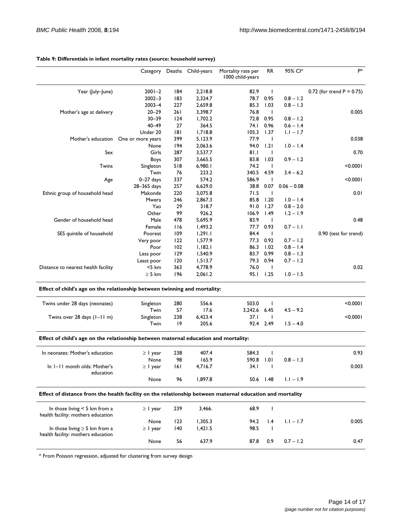|                                                                                                          | Category Deaths                      |                 | Child-years | Mortality rate per<br>1000 child-years | RR                       | 95% Cl*       | <b>P</b> *                   |
|----------------------------------------------------------------------------------------------------------|--------------------------------------|-----------------|-------------|----------------------------------------|--------------------------|---------------|------------------------------|
| Year (July-June)                                                                                         | $2001 - 2$                           | 184             | 2,218.8     | 82.9                                   | $\mathbf{I}$             |               | 0.72 (for trend $P = 0.75$ ) |
|                                                                                                          | $2002 - 3$                           | 183             | 2,324.7     | 78.7                                   | 0.95                     | $0.8 - 1.2$   |                              |
|                                                                                                          | $2003 - 4$                           | 227             | 2,659.8     | 85.3                                   | 1.03                     | $0.8 - 1.3$   |                              |
| Mother's age at delivery                                                                                 | $20 - 29$                            | 261             | 3,398.7     | 76.8                                   | $\mathbf{I}$             |               | 0.005                        |
|                                                                                                          | $30 - 39$                            | 124             | 1,702.2     | 72.8                                   | 0.95                     | $0.8 - 1.2$   |                              |
|                                                                                                          | $40 - 49$                            | 27              | 364.5       | 74. I                                  | 0.96                     | $0.6 - 1.4$   |                              |
|                                                                                                          | Under 20                             | 181             | 1,718.8     | 105.3                                  | 1.37                     | $1.1 - 1.7$   |                              |
|                                                                                                          | Mother's education One or more years | 399             | 5,123.9     | 77.9                                   | $\mathbf{I}$             |               | 0.038                        |
|                                                                                                          | None                                 | 194             | 2,063.6     | 94.0                                   | 1.21                     | $1.0 - 1.4$   |                              |
| Sex                                                                                                      | Girls                                | 287             | 3,537.7     | 81.1                                   | $\mathbf{I}$             |               | 0.70                         |
|                                                                                                          | Boys                                 | 307             | 3,665.5     | 83.8                                   | 1.03                     | $0.9 - 1.2$   |                              |
| Twins                                                                                                    | Singleton                            | 518             | 6,980.1     | 74.2                                   | $\mathbf{I}$             |               | < 0.0001                     |
|                                                                                                          | Twin                                 | 76              | 223.2       | 340.5                                  | 4.59                     | $3.4 - 6.2$   |                              |
| Age                                                                                                      | $0 - 27$ days                        | 337             | 574.2       | 586.9                                  | $\mathbf{I}$             |               | < 0.0001                     |
|                                                                                                          | 28-365 days                          | 257             | 6,629.0     | 38.8                                   | 0.07                     | $0.06 - 0.08$ |                              |
| Ethnic group of household head                                                                           | Makonde                              | 220             | 3,075.8     | 71.5                                   | $\overline{\phantom{a}}$ |               | 0.01                         |
|                                                                                                          | Mwera                                | 246             | 2.867.3     | 85.8                                   | 1.20                     | $1.0 - 1.4$   |                              |
|                                                                                                          | Yao                                  | 29              | 318.7       | 91.0                                   | 1.27                     | $0.8 - 2.0$   |                              |
|                                                                                                          | Other                                | 99              | 926.2       | 106.9                                  | 1.49                     | $1.2 - 1.9$   |                              |
| Gender of household head                                                                                 | Male                                 | 478             | 5,695.9     | 83.9                                   | $\mathbf{I}$             |               | 0.48                         |
|                                                                                                          | Female                               | 116             | 1,493.2     | 77.7                                   | 0.93                     | $0.7 - 1.1$   |                              |
| SES quintile of household                                                                                | Poorest                              | 109             | 1,291.1     | 84.4                                   | $\mathbf{I}$             |               | 0.90 (test for trend)        |
|                                                                                                          | Very poor                            | 122             | 1,577.9     | 77.3                                   | 0.92                     | $0.7 - 1.2$   |                              |
|                                                                                                          | Poor                                 | 102             | 1,182.1     | 86.3                                   | 1.02                     | $0.8 - 1.4$   |                              |
|                                                                                                          | Less poor                            | 129             | 1,540.9     | 83.7                                   | 0.99                     | $0.8 - 1.3$   |                              |
|                                                                                                          | Least poor                           | 120             | 1,513.7     | 79.3                                   | 0.94                     | $0.7 - 1.2$   |                              |
| Distance to nearest health facility                                                                      | $<$ 5 km                             | 363             | 4,778.9     | 76.0                                   | $\mathbf{I}$             |               | 0.02                         |
|                                                                                                          | $\geq$ 5 km                          | 196             | 2,061.2     | 95.I                                   | 1.25                     | $1.0 - 1.5$   |                              |
|                                                                                                          |                                      |                 |             |                                        |                          |               |                              |
| Effect of child's age on the relationship between twinning and mortality:                                |                                      |                 |             |                                        |                          |               |                              |
| Twins under 28 days (neonates)                                                                           | Singleton                            | 280             | 556.6       | 503.0                                  | $\mathbf{I}$             |               | <0.0001                      |
|                                                                                                          | Twin                                 | 57              | 17.6        | 3,242.6                                | 6.45                     | $4.5 - 9.2$   |                              |
| Twins over 28 days (I-II m)                                                                              | Singleton                            | 238             | 6,423.4     | 37.I                                   | $\mathbf{I}$             |               | < 0.0001                     |
|                                                                                                          | Twin                                 | $\overline{19}$ | 205.6       | 92.4                                   | 2.49                     | $1.5 - 4.0$   |                              |
| Effect of child's age on the relationship between maternal education and mortality:                      |                                      |                 |             |                                        |                          |               |                              |
| In neonates: Mother's education                                                                          | $\geq$   year                        | 238             | 407.4       | 584.3                                  | ı                        |               | 0.93                         |
|                                                                                                          | None                                 | 98              | 165.9       | 590.8 1.01                             |                          | $0.8 - 1.3$   |                              |
| In I-II month olds: Mother's<br>education                                                                | $\geq$   year                        | 6               | 4,716.7     | 34. I                                  | $\mathbf{I}$             |               | 0.003                        |
|                                                                                                          | None                                 | 96              | 1,897.8     |                                        | 50.6 1.48                | $1.1 - 1.9$   |                              |
| Effect of distance from the health facility on the relationship between maternal education and mortality |                                      |                 |             |                                        |                          |               |                              |
| In those living $<$ 5 km from a<br>health facility: mothers education                                    | $\geq$   year                        | 239             | 3,466.      | 68.9                                   | $\mathbf{I}$             |               |                              |
|                                                                                                          | None                                 | 123             | 1,305.3     | 94.2                                   | 1.4                      | $1.1 - 1.7$   | 0.005                        |
| In those living $\geq$ 5 km from a                                                                       | $\geq$   year                        | 140             | 1,421.5     | 98.5                                   | $\mathbf{I}$             |               |                              |
| health facility: mothers education                                                                       |                                      |                 |             |                                        |                          |               |                              |
|                                                                                                          | None                                 | 56              | 637.9       | 87.8                                   | 0.9                      | $0.7 - 1.2$   | 0.47                         |

# **Table 9: Differentials in infant mortality rates (source: household survey)**

 $*$  From Poisson regression, adjusted for clustering from survey design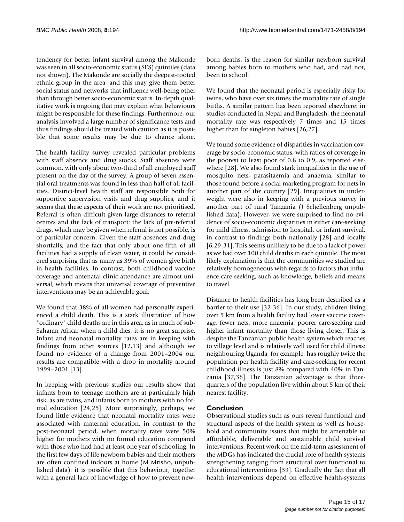tendency for better infant survival among the Makonde was seen in all socio-economic status (SES) quintiles (data not shown). The Makonde are socially the deepest-rooted ethnic group in the area, and this may give them better social status and networks that influence well-being other than through better socio-economic status. In-depth qualitative work is ongoing that may explain what behaviours might be responsible for these findings. Furthermore, our analysis involved a large number of significance tests and thus findings should be treated with caution as it is possible that some results may be due to chance alone.

The health facility survey revealed particular problems with staff absence and drug stocks. Staff absences were common, with only about two-third of all employed staff present on the day of the survey. A group of seven essential oral treatments was found in less than half of all facilities. District-level health staff are responsible both for supportive supervision visits and drug supplies, and it seems that these aspects of their work are not prioritised. Referral is often difficult given large distances to referral centres and the lack of transport: the lack of pre-referral drugs, which may be given when referral is not possible, is of particular concern. Given the staff absences and drug shortfalls, and the fact that only about one-fifth of all facilities had a supply of clean water, it could be considered surprising that as many as 39% of women give birth in health facilities. In contrast, both childhood vaccine coverage and antenatal clinic attendance are almost universal, which means that universal coverage of preventive interventions may be an achievable goal.

We found that 38% of all women had personally experienced a child death. This is a stark illustration of how "ordinary" child deaths are in this area, as in much of sub-Saharan Africa: when a child dies, it is no great surprise. Infant and neonatal mortality rates are in keeping with findings from other sources [12,13] and although we found no evidence of a change from 2001–2004 our results are compatible with a drop in mortality around 1999–2001 [13].

In keeping with previous studies our results show that infants born to teenage mothers are at particularly high risk, as are twins, and infants born to mothers with no formal education [24,25]. More surprisingly, perhaps, we found little evidence that neonatal mortality rates were associated with maternal education, in contrast to the post-neonatal period, when mortality rates were 50% higher for mothers with no formal education compared with those who had had at least one year of schooling. In the first few days of life newborn babies and their mothers are often confined indoors at home (M Mrisho, unpublished data): it is possible that this behaviour, together with a general lack of knowledge of how to prevent newborn deaths, is the reason for similar newborn survival among babies born to mothers who had, and had not, been to school.

We found that the neonatal period is especially risky for twins, who have over six times the mortality rate of single births. A similar pattern has been reported elsewhere: in studies conducted in Nepal and Bangladesh, the neonatal mortality rate was respectively 7 times and 15 times higher than for singleton babies [26,27].

We found some evidence of disparities in vaccination coverage by socio-economic status, with ratios of coverage in the poorest to least poor of 0.8 to 0.9, as reported elsewhere [28]. We also found stark inequalities in the use of mosquito nets, parasitaemia and anaemia, similar to those found before a social marketing program for nets in another part of the country [29]. Inequalities in underweight were also in keeping with a previous survey in another part of rural Tanzania (J Schellenberg unpublished data). However, we were surprised to find no evidence of socio-economic disparities in either care-seeking for mild illness, admission to hospital, or infant survival, in contrast to findings both nationally [28] and locally [6,29-31]. This seems unlikely to be due to a lack of power as we had over 100 child deaths in each quintile. The most likely explanation is that the communities we studied are relatively homogeneous with regards to factors that influence care-seeking, such as knowledge, beliefs and means to travel.

Distance to health facilities has long been described as a barrier to their use [32-36]. In our study, children living over 5 km from a health facility had lower vaccine coverage, fewer nets, more anaemia, poorer care-seeking and higher infant mortality than those living closer. This is despite the Tanzanian public health system which reaches to village level and is relatively well used for child illness: neighbouring Uganda, for example, has roughly twice the population per health facility and care-seeking for recent childhood illness is just 8% compared with 40% in Tanzania [37,38]. The Tanzanian advantage is that threequarters of the population live within about 5 km of their nearest facility.

# **Conclusion**

Observational studies such as ours reveal functional and structural aspects of the health system as well as household and community issues that might be amenable to affordable, deliverable and sustainable child survival interventions. Recent work on the mid-term assessment of the MDGs has indicated the crucial role of health systems strengthening ranging from structural over functional to educational interventions [39]. Gradually the fact that all health interventions depend on effective health-systems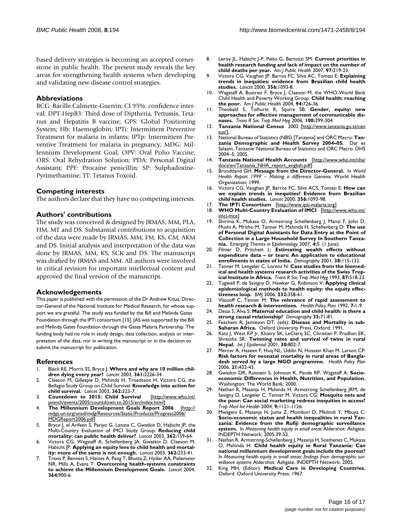based delivery strategies is becoming an accepted cornerstone in public health. The present study reveals the key areas for strengthening health systems when developing and validating new disease control strategies.

# **Abbreviations**

BCG: Bacille Calmette-Guerrin; CI 95%: confidence interval; DPT-HepB3: Third dose of Diptheria, Pertussis, Tetanus and Hepatitis B vaccine; GPS: Global Positioning System; Hb: Haemoglobin; IPTi: Intermittent Preventive Treatment for malaria in infants; IPTp: Intermittent Preventive Treatment for malaria in pregnancy; MDG: Millennium Development Goal; OPV: Oral Polio Vaccine; ORS: Oral Rehydration Solution; PDA: Personal Digital Assistant; PPF: Procaine penicillin; SP: Sulphadoxine-Pyrimethamine; TT: Tetanus Toxoid.

# **Competing interests**

The authors declare that they have no competing interests.

# **Authors' contributions**

The study was conceived & designed by JRMAS, MM, PLA, HM, MT and DS. Substantial contributions to acquisition of the data were made by JRMAS, MM, FM, KS, CM, AKM and DS. Initial analysis and interpretation of the data was done by JRMAS, MM, KS, SCK and DS. The manuscript was drafted by JRMAS and MM. All authors were involved in critical revision for important intellectual content and approved the final version of the manuscript.

## **Acknowledgements**

This paper is published with the permission of the Dr Andrew Kitua, Director-General of the National Institute for Medical Research, for whose support we are grateful. The study was funded by the Bill and Melinda Gates Foundation through the IPTi consortium [15]. JAS was supported by the Bill and Melinda Gates Foundation through the Gates Malaria Partnership. The funding body had no role in study design, data collection, analysis or interpretation of the data, nor in writing the manuscript or in the decision to submit the manuscript for publication.

## **References**

- 1. Black RE, Morris SS, Bryce J: **[Where and why are 10 million chil](http://www.ncbi.nlm.nih.gov/entrez/query.fcgi?cmd=Retrieve&db=PubMed&dopt=Abstract&list_uids=12842379)[dren dying every year?](http://www.ncbi.nlm.nih.gov/entrez/query.fcgi?cmd=Retrieve&db=PubMed&dopt=Abstract&list_uids=12842379)** *Lancet* 2003, **361:**2226-34.
- 2. Claeson M, Gillespie D, Mshinda H, Troedsson H, Victora CG, the Bellagio Study Group on Child Survival: **[Knowledge into action for](http://www.ncbi.nlm.nih.gov/entrez/query.fcgi?cmd=Retrieve&db=PubMed&dopt=Abstract&list_uids=12892965) [child survival.](http://www.ncbi.nlm.nih.gov/entrez/query.fcgi?cmd=Retrieve&db=PubMed&dopt=Abstract&list_uids=12892965)** *Lancet* 2003, **362:**323-7.
- 3. **Countdown to 2015: Child Survival** [[http://www.who.int/](http://www.who.int/pmnch/events/2005/countdown.to.2015/en/index.html) [pmnch/events/2005/countdown.to.2015/en/index.html](http://www.who.int/pmnch/events/2005/countdown.to.2015/en/index.html)]
- 4. **The Millennium Development Goals Report 2006** [[http://](http://mdgs.un.org/unsd/mdg/Resources/Static/Products/Progress2006/MDGReport2006.pdf) [mdgs.un.org/unsd/mdg/Resources/Static/Products/Progress2006/](http://mdgs.un.org/unsd/mdg/Resources/Static/Products/Progress2006/MDGReport2006.pdf) [MDGReport2006.pdf](http://mdgs.un.org/unsd/mdg/Resources/Static/Products/Progress2006/MDGReport2006.pdf)]
- 5. Bryce J, el Arifeen S, Pariyo G, Lanata C, Gwatkin D, Habicht JP, the Multi-Country Evaluation of IMCI Study Group: **[Reducing child](http://www.ncbi.nlm.nih.gov/entrez/query.fcgi?cmd=Retrieve&db=PubMed&dopt=Abstract&list_uids=12867119) [mortality: can public health deliver?](http://www.ncbi.nlm.nih.gov/entrez/query.fcgi?cmd=Retrieve&db=PubMed&dopt=Abstract&list_uids=12867119)** *Lancet* 2003, **362:**159-64.
- 6. Victora CG, Wagstaff A, Schellenberg JA, Gwatkin D, Claeson M, Habicht JP: **[Applying an equity lens to child health and mortal](http://www.ncbi.nlm.nih.gov/entrez/query.fcgi?cmd=Retrieve&db=PubMed&dopt=Abstract&list_uids=12885488)[ity: more of the same is not enough.](http://www.ncbi.nlm.nih.gov/entrez/query.fcgi?cmd=Retrieve&db=PubMed&dopt=Abstract&list_uids=12885488)** *Lancet* 2003, **362:**233-41.
- 7. Travis P, Bennett S, Haines A, Pang T, Bhutta Z, Hyder AA, Pielemeier NR, Mills A, Evans T: **[Overcoming health-systems constraints](http://www.ncbi.nlm.nih.gov/entrez/query.fcgi?cmd=Retrieve&db=PubMed&dopt=Abstract&list_uids=15351199) [to achieve the Millennium Development Goals.](http://www.ncbi.nlm.nih.gov/entrez/query.fcgi?cmd=Retrieve&db=PubMed&dopt=Abstract&list_uids=15351199)** *Lancet* 2004, **364:**900-6.
- 8. Leroy JL, Habicht J-P, Pelto G, Bertozzi SM: **[Current priorities in](http://www.ncbi.nlm.nih.gov/entrez/query.fcgi?cmd=Retrieve&db=PubMed&dopt=Abstract&list_uids=17194855) [health research funding and lack of impact on the number of](http://www.ncbi.nlm.nih.gov/entrez/query.fcgi?cmd=Retrieve&db=PubMed&dopt=Abstract&list_uids=17194855) [child deaths per year.](http://www.ncbi.nlm.nih.gov/entrez/query.fcgi?cmd=Retrieve&db=PubMed&dopt=Abstract&list_uids=17194855)** *Am J Public Health* 2007, **97:**219-23.
- 9. Victora CG, Vaughan JP, Barros FC, Silva AC, Tomasi E: **[Explaining](http://www.ncbi.nlm.nih.gov/entrez/query.fcgi?cmd=Retrieve&db=PubMed&dopt=Abstract&list_uids=11009159) [trends in inequities: evidence from Brazilian child health](http://www.ncbi.nlm.nih.gov/entrez/query.fcgi?cmd=Retrieve&db=PubMed&dopt=Abstract&list_uids=11009159) [studies.](http://www.ncbi.nlm.nih.gov/entrez/query.fcgi?cmd=Retrieve&db=PubMed&dopt=Abstract&list_uids=11009159)** *Lancet* 2000, **356:**1093-8.
- 10. Wagstaff A, Bustreo F, Bryce J, Claeson M, the WHO-World Bank Child Health and Poverty Working Group: **[Child health: reaching](http://www.ncbi.nlm.nih.gov/entrez/query.fcgi?cmd=Retrieve&db=PubMed&dopt=Abstract&list_uids=15117689) [the poor.](http://www.ncbi.nlm.nih.gov/entrez/query.fcgi?cmd=Retrieve&db=PubMed&dopt=Abstract&list_uids=15117689)** *Am J Public Health* 2004, **94:**726-36.
- 11. Theobald S, Tolhurst R, Squire SB: **[Gender, equity: new](http://www.ncbi.nlm.nih.gov/entrez/query.fcgi?cmd=Retrieve&db=PubMed&dopt=Abstract&list_uids=16430933) [approaches for effective management of communicable dis](http://www.ncbi.nlm.nih.gov/entrez/query.fcgi?cmd=Retrieve&db=PubMed&dopt=Abstract&list_uids=16430933)[eases.](http://www.ncbi.nlm.nih.gov/entrez/query.fcgi?cmd=Retrieve&db=PubMed&dopt=Abstract&list_uids=16430933)** *Trans R Soc Trop Med Hyg* 2006, **100:**299-304.
- 12. **Tanzania National Census** 2002 [[http://www.tanzania.go.tz/cen](http://www.tanzania.go.tz/census/) [sus/](http://www.tanzania.go.tz/census/)].
- 13. National Bureau of Statistics (NBS) [Tanzania] and ORC Macro: **Tanzania Demographic and Health Survey 2004–05.** Dar es Salaam, Tanzania: National Bureau of Statistics and ORC Macro. DHS 2004–5; 2005.
- 14. **Tanzania National Health Accounts** [\[http://www.who.int/nha/](http://www.who.int/nha/docs/en/Tanzania_NHA_report_english.pdf) [docs/en/Tanzania\\_NHA\\_report\\_english.pdf\]](http://www.who.int/nha/docs/en/Tanzania_NHA_report_english.pdf)
- 15. Brundtland GH: **Message from the Director-General.** In *World Health Report 1999 – Making a difference* Geneva: World Health Organization; 1999.
- 16. Victora CG, Vaughan JP, Barros FC, Silva ACS, Tomasi E: **[How can](http://www.ncbi.nlm.nih.gov/entrez/query.fcgi?cmd=Retrieve&db=PubMed&dopt=Abstract&list_uids=11009159) [we explain trends in inequities? Evidence from Brazilian](http://www.ncbi.nlm.nih.gov/entrez/query.fcgi?cmd=Retrieve&db=PubMed&dopt=Abstract&list_uids=11009159) [child health studies.](http://www.ncbi.nlm.nih.gov/entrez/query.fcgi?cmd=Retrieve&db=PubMed&dopt=Abstract&list_uids=11009159)** *Lancet* 2000, **356:**1093-98.
- 17. **The IPTi Consortium** [[http://www.ipti-malaria.org\]](http://www.ipti-malaria.org)
- 18. **WHO Multi-Country Evaluation of IMCI** [[http://www.who.int/](http://www.who.int/imci-mce) [imci-mce](http://www.who.int/imci-mce)]
- 19. Shirima K, Mukasa O, Armstrong Schellenberg J, Manzi F, John D, Mushi A, Mrisho M, Tanner M, Mshinda H, Schellenberg D: **[The use](http://www.ncbi.nlm.nih.gov/entrez/query.fcgi?cmd=Retrieve&db=PubMed&dopt=Abstract&list_uids=17543099) [of Personal Digital Assistants for Data Entry at the Point of](http://www.ncbi.nlm.nih.gov/entrez/query.fcgi?cmd=Retrieve&db=PubMed&dopt=Abstract&list_uids=17543099) Collection in a Large Household Survey In Southern Tanza[nia.](http://www.ncbi.nlm.nih.gov/entrez/query.fcgi?cmd=Retrieve&db=PubMed&dopt=Abstract&list_uids=17543099)** *Emerging Themes in Epidemiology* 2007, **4:**5. (1 June).
- 20. Filmer D, Pritchett L: **[Estimating wealth effects without](http://www.ncbi.nlm.nih.gov/entrez/query.fcgi?cmd=Retrieve&db=PubMed&dopt=Abstract&list_uids=11227840) [expenditure data – or tears: An application to educational](http://www.ncbi.nlm.nih.gov/entrez/query.fcgi?cmd=Retrieve&db=PubMed&dopt=Abstract&list_uids=11227840) [enrollments in states of India.](http://www.ncbi.nlm.nih.gov/entrez/query.fcgi?cmd=Retrieve&db=PubMed&dopt=Abstract&list_uids=11227840)** *Demography* 2001, **38:**115-132.
- 21. Tanner M, Lengeler C, Lorenz N: **[Case studies from the biomed](http://www.ncbi.nlm.nih.gov/entrez/query.fcgi?cmd=Retrieve&db=PubMed&dopt=Abstract&list_uids=8266400)[ical and health systems research activities of the Swiss Trop](http://www.ncbi.nlm.nih.gov/entrez/query.fcgi?cmd=Retrieve&db=PubMed&dopt=Abstract&list_uids=8266400)[ical Institute in Africa.](http://www.ncbi.nlm.nih.gov/entrez/query.fcgi?cmd=Retrieve&db=PubMed&dopt=Abstract&list_uids=8266400)** *Trans R Soc Trop Med Hyg* 1993, **87:**518-23.
- 22. Tugwell P, de Savigny D, Hawker G, Robinson V: **[Applying clinical](http://www.ncbi.nlm.nih.gov/entrez/query.fcgi?cmd=Retrieve&db=PubMed&dopt=Abstract&list_uids=16470062) [epidemiological methods to health equity: the equity effec](http://www.ncbi.nlm.nih.gov/entrez/query.fcgi?cmd=Retrieve&db=PubMed&dopt=Abstract&list_uids=16470062)[tiveness loop.](http://www.ncbi.nlm.nih.gov/entrez/query.fcgi?cmd=Retrieve&db=PubMed&dopt=Abstract&list_uids=16470062)** *BMJ* 2006, **332:**358-61.
- 23. Vlassoff C, Tanner M: **The relevance of rapid assessment to health research & interventions.** *Health Policy Plan* 1992, **7:**1-9.
- 24. Desai S, Alva S: **[Maternal education and child health: is there a](http://www.ncbi.nlm.nih.gov/entrez/query.fcgi?cmd=Retrieve&db=PubMed&dopt=Abstract&list_uids=9512911) [strong causal relationship?](http://www.ncbi.nlm.nih.gov/entrez/query.fcgi?cmd=Retrieve&db=PubMed&dopt=Abstract&list_uids=9512911)** *Demography* **35:**71-81.
- 25. Feachem R, Jamieson DT, (eds): **[Disease and Mortality in sub-](http://www.ncbi.nlm.nih.gov/entrez/query.fcgi?cmd=Retrieve&db=PubMed&dopt=Abstract&list_uids=1855496)[Saharan Africa.](http://www.ncbi.nlm.nih.gov/entrez/query.fcgi?cmd=Retrieve&db=PubMed&dopt=Abstract&list_uids=1855496)** Oxford University Press, Oxford; 1991.
- 26. Katz J, West KP Jr, Khatry SK, LeClerq SC, Christian P, Pradhan EK, Shrestha SR: **[Twinning rates and survival of twins in rural](http://www.ncbi.nlm.nih.gov/entrez/query.fcgi?cmd=Retrieve&db=PubMed&dopt=Abstract&list_uids=11511607) [Nepal.](http://www.ncbi.nlm.nih.gov/entrez/query.fcgi?cmd=Retrieve&db=PubMed&dopt=Abstract&list_uids=11511607)** *Int J Epidemiol* 2001, **30:**802-7.
- 27. Mercer A, Haseen F, Huq NL, Uddin N, Hossain Khan M, Larson CP: **[Risk factors for neonatal mortality in rural areas of Bangla](http://www.ncbi.nlm.nih.gov/entrez/query.fcgi?cmd=Retrieve&db=PubMed&dopt=Abstract&list_uids=16943220)[desh served by a large NGO programme.](http://www.ncbi.nlm.nih.gov/entrez/query.fcgi?cmd=Retrieve&db=PubMed&dopt=Abstract&list_uids=16943220)** *Health Policy Plan* 2006, **21:**432-43.
- 28. Gwatkin DR, Rutstein S, Johnson K, Pande RP, Wagstaff A: **Socioeconomic Differences in Health, Nutrition, and Population.** Washington: The World Bank; 2000.
- 29. Nathan R, Masanja H, Mshinda H, Armstrong Schellenberg JRM, de Savigny D, Lengeler C, Tanner M, Victora CG: **[Mosquito nets and](http://www.ncbi.nlm.nih.gov/entrez/query.fcgi?cmd=Retrieve&db=PubMed&dopt=Abstract&list_uids=15482406) [the poor: Can social marketing redress inequities in access?](http://www.ncbi.nlm.nih.gov/entrez/query.fcgi?cmd=Retrieve&db=PubMed&dopt=Abstract&list_uids=15482406)** *Trop Med Int Health* 2004, **9:**1121-1126.
- 30. Mwageni E, Masanja H, Juma Z, Momburi D, Mkilindi Y, Mbuya C: **Socio-economic status and health inequalities in rural Tanzania: Evidence from the Rufiji demographic surveillance system.** In *Measuring health equity in small areas* Aldershot: Ashgate, INDEPTH Network; 2005:39-52.
- 31. Nathan R, Armstrong-Schellenberg J, Masanja H, Sosthenes C, Mukasa O, Mshinda H: **Child health equity in Rural Tanzania: Can national millennium development goals include the poorest?** In *Measuring health equity in small areas: findings from demographic surveillance systems* Aldershot: Ashgate, INDEPTH Network; 2005.
- 32. King MH, (Editor): **Medical Care in Developing Countries.** Oxford: Oxford University Press; 1967.